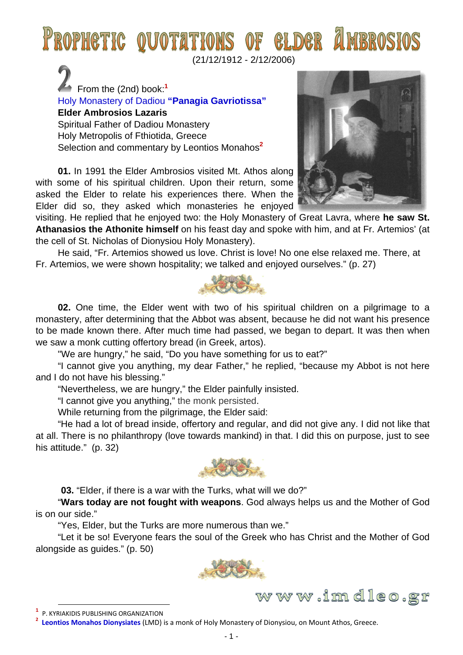## PROPHETIC QUOTATIONS OF ELDER

(21/12/1912 - 2/12/2006)

 From the (2nd) book:**<sup>1</sup>** Holy Monastery of Dadiou **"Panagia Gavriotissa" Elder Ambrosios Lazaris**  Spiritual Father of Dadiou Monastery Holy Metropolis of Fthiotida, Greece Selection and commentary by Leontios Monahos**<sup>2</sup>**

**01.** In 1991 the Elder Ambrosios visited Mt. Athos along with some of his spiritual children. Upon their return, some asked the Elder to relate his experiences there. When the Elder did so, they asked which monasteries he enjoyed



www.imdleo.gr

visiting. He replied that he enjoyed two: the Holy Monastery of Great Lavra, where **he saw St. Athanasios the Athonite himself** on his feast day and spoke with him, and at Fr. Artemios' (at the cell of St. Nicholas of Dionysiou Holy Monastery).

He said, "Fr. Artemios showed us love. Christ is love! No one else relaxed me. There, at Fr. Artemios, we were shown hospitality; we talked and enjoyed ourselves." (p. 27)



**02.** One time, the Elder went with two of his spiritual children on a pilgrimage to a monastery, after determining that the Abbot was absent, because he did not want his presence to be made known there. After much time had passed, we began to depart. It was then when we saw a monk cutting offertory bread (in Greek, artos).

"We are hungry," he said, "Do you have something for us to eat?"

"I cannot give you anything, my dear Father," he replied, "because my Abbot is not here and I do not have his blessing."

"Nevertheless, we are hungry," the Elder painfully insisted.

"I cannot give you anything," the monk persisted.

While returning from the pilgrimage, the Elder said:

"He had a lot of bread inside, offertory and regular, and did not give any. I did not like that at all. There is no philanthropy (love towards mankind) in that. I did this on purpose, just to see his attitude." (p. 32)



 **03.** "Elder, if there is a war with the Turks, what will we do?"

"**Wars today are not fought with weapons**. God always helps us and the Mother of God is on our side."

"Yes, Elder, but the Turks are more numerous than we."

"Let it be so! Everyone fears the soul of the Greek who has Christ and the Mother of God alongside as guides." (p. 50)



**<sup>1</sup>**<br>**1** R KVB **P. KYRIAKIDIS PUBLISHING ORGANIZATION**<br>2 Leontias Manabas Diamusiates (LMD)

**Leontios Monahos Dionysiates** (LMD) is a monk of Holy Monastery of Dionysiou, on Mount Athos, Greece.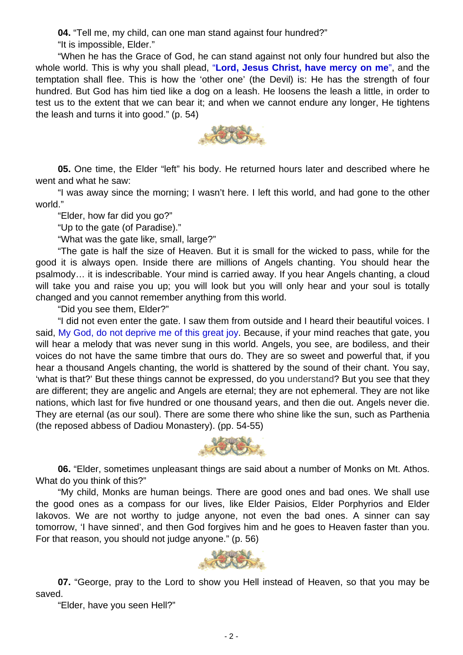**04.** "Tell me, my child, can one man stand against four hundred?"

"It is impossible, Elder."

"When he has the Grace of God, he can stand against not only four hundred but also the whole world. This is why you shall plead, "**Lord, Jesus Christ, have mercy on me**", and the temptation shall flee. This is how the 'other one' (the Devil) is: He has the strength of four hundred. But God has him tied like a dog on a leash. He loosens the leash a little, in order to test us to the extent that we can bear it; and when we cannot endure any longer, He tightens the leash and turns it into good." (p. 54)



**05.** One time, the Elder "left" his body. He returned hours later and described where he went and what he saw:

"I was away since the morning; I wasn't here. I left this world, and had gone to the other world."

"Elder, how far did you go?"

"Up to the gate (of Paradise)."

"What was the gate like, small, large?"

"The gate is half the size of Heaven. But it is small for the wicked to pass, while for the good it is always open. Inside there are millions of Angels chanting. You should hear the psalmody… it is indescribable. Your mind is carried away. If you hear Angels chanting, a cloud will take you and raise you up; you will look but you will only hear and your soul is totally changed and you cannot remember anything from this world.

"Did you see them, Elder?"

"I did not even enter the gate. I saw them from outside and I heard their beautiful voices. I said, My God, do not deprive me of this great joy. Because, if your mind reaches that gate, you will hear a melody that was never sung in this world. Angels, you see, are bodiless, and their voices do not have the same timbre that ours do. They are so sweet and powerful that, if you hear a thousand Angels chanting, the world is shattered by the sound of their chant. You say, 'what is that?' But these things cannot be expressed, do you understand? But you see that they are different; they are angelic and Angels are eternal; they are not ephemeral. They are not like nations, which last for five hundred or one thousand years, and then die out. Angels never die. They are eternal (as our soul). There are some there who shine like the sun, such as Parthenia (the reposed abbess of Dadiou Monastery). (pp. 54-55)



**06.** "Elder, sometimes unpleasant things are said about a number of Monks on Mt. Athos. What do you think of this?"

"My child, Monks are human beings. There are good ones and bad ones. We shall use the good ones as a compass for our lives, like Elder Paisios, Elder Porphyrios and Elder Iakovos. We are not worthy to judge anyone, not even the bad ones. A sinner can say tomorrow, 'I have sinned', and then God forgives him and he goes to Heaven faster than you. For that reason, you should not judge anyone." (p. 56)



**07.** "George, pray to the Lord to show you Hell instead of Heaven, so that you may be saved.

"Elder, have you seen Hell?"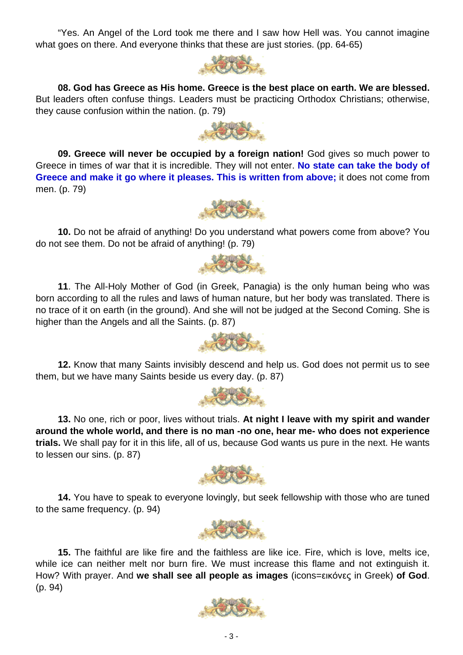- 3 -

"Yes. An Angel of the Lord took me there and I saw how Hell was. You cannot imagine what goes on there. And everyone thinks that these are just stories. (pp. 64-65)

**08. God has Greece as His home. Greece is the best place on earth. We are blessed.** But leaders often confuse things. Leaders must be practicing Orthodox Christians; otherwise, they cause confusion within the nation. (p. 79)

**09. Greece will never be occupied by a foreign nation!** God gives so much power to Greece in times of war that it is incredible. They will not enter. **No state can take the body of Greece and make it go where it pleases. This is written from above;** it does not come from men. (p. 79)

**10.** Do not be afraid of anything! Do you understand what powers come from above? You do not see them. Do not be afraid of anything! (p. 79)

SOLON.

**11**. The All-Holy Mother of God (in Greek, Panagia) is the only human being who was born according to all the rules and laws of human nature, but her body was translated. There is no trace of it on earth (in the ground). And she will not be judged at the Second Coming. She is higher than the Angels and all the Saints. (p. 87)

**12.** Know that many Saints invisibly descend and help us. God does not permit us to see them, but we have many Saints beside us every day. (p. 87)

**13.** No one, rich or poor, lives without trials. **At night I leave with my spirit and wander around the whole world, and there is no man -no one, hear me- who does not experience trials.** We shall pay for it in this life, all of us, because God wants us pure in the next. He wants to lessen our sins. (p. 87)

**14.** You have to speak to everyone lovingly, but seek fellowship with those who are tuned to the same frequency. (p. 94)











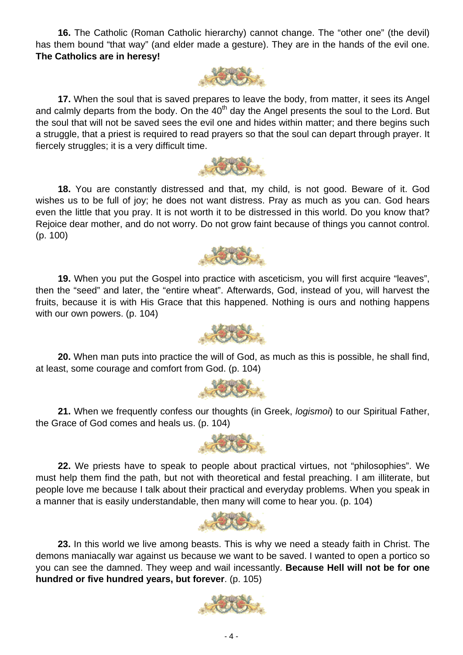**16.** The Catholic (Roman Catholic hierarchy) cannot change. The "other one" (the devil) has them bound "that way" (and elder made a gesture). They are in the hands of the evil one. **The Catholics are in heresy!**



**17.** When the soul that is saved prepares to leave the body, from matter, it sees its Angel and calmly departs from the body. On the  $40<sup>th</sup>$  day the Angel presents the soul to the Lord. But the soul that will not be saved sees the evil one and hides within matter; and there begins such a struggle, that a priest is required to read prayers so that the soul can depart through prayer. It fiercely struggles; it is a very difficult time.



**18.** You are constantly distressed and that, my child, is not good. Beware of it. God wishes us to be full of joy; he does not want distress. Pray as much as you can. God hears even the little that you pray. It is not worth it to be distressed in this world. Do you know that? Rejoice dear mother, and do not worry. Do not grow faint because of things you cannot control. (p. 100)



19. When you put the Gospel into practice with asceticism, you will first acquire "leaves", then the "seed" and later, the "entire wheat". Afterwards, God, instead of you, will harvest the fruits, because it is with His Grace that this happened. Nothing is ours and nothing happens with our own powers. (p. 104)



**20.** When man puts into practice the will of God, as much as this is possible, he shall find, at least, some courage and comfort from God. (p. 104)



**21.** When we frequently confess our thoughts (in Greek, *logismoi*) to our Spiritual Father, the Grace of God comes and heals us. (p. 104)



**22.** We priests have to speak to people about practical virtues, not "philosophies". We must help them find the path, but not with theoretical and festal preaching. I am illiterate, but people love me because I talk about their practical and everyday problems. When you speak in a manner that is easily understandable, then many will come to hear you. (p. 104)



**23.** In this world we live among beasts. This is why we need a steady faith in Christ. The demons maniacally war against us because we want to be saved. I wanted to open a portico so you can see the damned. They weep and wail incessantly. **Because Hell will not be for one hundred or five hundred years, but forever**. (p. 105)

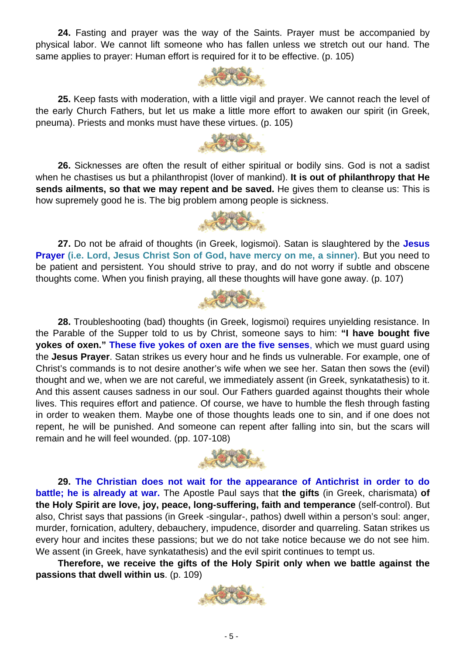**24.** Fasting and prayer was the way of the Saints. Prayer must be accompanied by physical labor. We cannot lift someone who has fallen unless we stretch out our hand. The same applies to prayer: Human effort is required for it to be effective. (p. 105)



**25.** Keep fasts with moderation, with a little vigil and prayer. We cannot reach the level of the early Church Fathers, but let us make a little more effort to awaken our spirit (in Greek, pneuma). Priests and monks must have these virtues. (p. 105)

**YOUR** 

**26.** Sicknesses are often the result of either spiritual or bodily sins. God is not a sadist when he chastises us but a philanthropist (lover of mankind). **It is out of philanthropy that He sends ailments, so that we may repent and be saved.** He gives them to cleanse us: This is how supremely good he is. The big problem among people is sickness.



**27.** Do not be afraid of thoughts (in Greek, logismoi). Satan is slaughtered by the **Jesus Prayer (i.e. Lord, Jesus Christ Son of God, have mercy on me, a sinner)**. But you need to be patient and persistent. You should strive to pray, and do not worry if subtle and obscene thoughts come. When you finish praying, all these thoughts will have gone away. (p. 107)



**28.** Troubleshooting (bad) thoughts (in Greek, logismoi) requires unyielding resistance. In the Parable of the Supper told to us by Christ, someone says to him: **"I have bought five yokes of oxen." These five yokes of oxen are the five senses**, which we must guard using the **Jesus Prayer**. Satan strikes us every hour and he finds us vulnerable. For example, one of Christ's commands is to not desire another's wife when we see her. Satan then sows the (evil) thought and we, when we are not careful, we immediately assent (in Greek, synkatathesis) to it. And this assent causes sadness in our soul. Our Fathers guarded against thoughts their whole lives. This requires effort and patience. Of course, we have to humble the flesh through fasting in order to weaken them. Maybe one of those thoughts leads one to sin, and if one does not repent, he will be punished. And someone can repent after falling into sin, but the scars will remain and he will feel wounded. (pp. 107-108)



**29. The Christian does not wait for the appearance of Antichrist in order to do battle; he is already at war.** The Apostle Paul says that **the gifts** (in Greek, charismata) **of the Holy Spirit are love, joy, peace, long-suffering, faith and temperance** (self-control). But also, Christ says that passions (in Greek -singular-, pathos) dwell within a person's soul: anger, murder, fornication, adultery, debauchery, impudence, disorder and quarreling. Satan strikes us every hour and incites these passions; but we do not take notice because we do not see him. We assent (in Greek, have synkatathesis) and the evil spirit continues to tempt us.

**Therefore, we receive the gifts of the Holy Spirit only when we battle against the passions that dwell within us**. (p. 109)

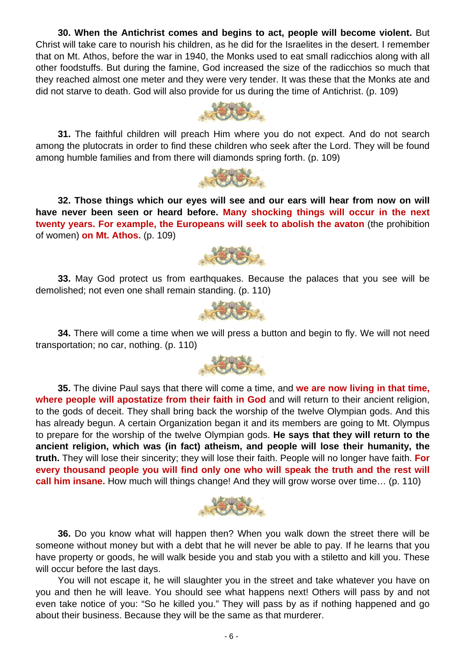**30. When the Antichrist comes and begins to act, people will become violent.** But Christ will take care to nourish his children, as he did for the Israelites in the desert. I remember that on Mt. Athos, before the war in 1940, the Monks used to eat small radicchios along with all other foodstuffs. But during the famine, God increased the size of the radicchios so much that they reached almost one meter and they were very tender. It was these that the Monks ate and did not starve to death. God will also provide for us during the time of Antichrist. (p. 109)

**31.** The faithful children will preach Him where you do not expect. And do not search among the plutocrats in order to find these children who seek after the Lord. They will be found among humble families and from there will diamonds spring forth. (p. 109)

发烧.

**32. Those things which our eyes will see and our ears will hear from now on will have never been seen or heard before. Many shocking things will occur in the next twenty years. For example, the Europeans will seek to abolish the avaton** (the prohibition of women) **on Mt. Athos.** (p. 109)

**33.** May God protect us from earthquakes. Because the palaces that you see will be demolished; not even one shall remain standing. (p. 110)

**34.** There will come a time when we will press a button and begin to fly. We will not need transportation; no car, nothing. (p. 110)

**35.** The divine Paul says that there will come a time, and **we are now living in that time, where people will apostatize from their faith in God** and will return to their ancient religion, to the gods of deceit. They shall bring back the worship of the twelve Olympian gods. And this has already begun. A certain Organization began it and its members are going to Mt. Olympus to prepare for the worship of the twelve Olympian gods. **He says that they will return to the ancient religion, which was (in fact) atheism, and people will lose their humanity, the truth.** They will lose their sincerity; they will lose their faith. People will no longer have faith. **For every thousand people you will find only one who will speak the truth and the rest will call him insane.** How much will things change! And they will grow worse over time… (p. 110)

**36.** Do you know what will happen then? When you walk down the street there will be someone without money but with a debt that he will never be able to pay. If he learns that you have property or goods, he will walk beside you and stab you with a stiletto and kill you. These will occur before the last days.

You will not escape it, he will slaughter you in the street and take whatever you have on you and then he will leave. You should see what happens next! Others will pass by and not even take notice of you: "So he killed you." They will pass by as if nothing happened and go about their business. Because they will be the same as that murderer.







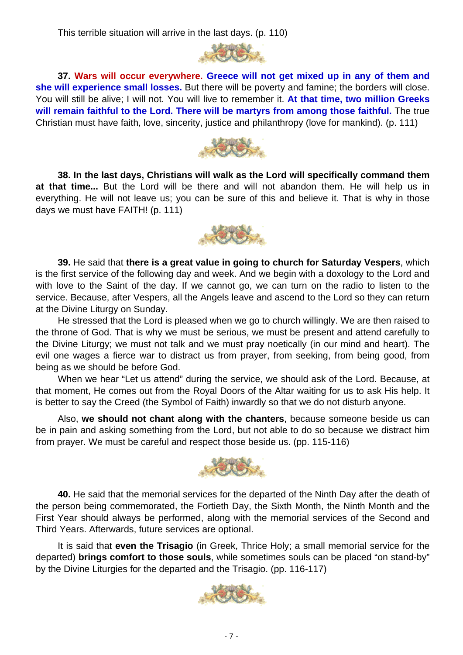This terrible situation will arrive in the last days. (p. 110)



**37. Wars will occur everywhere. Greece will not get mixed up in any of them and she will experience small losses.** But there will be poverty and famine; the borders will close. You will still be alive; I will not. You will live to remember it. **At that time, two million Greeks will remain faithful to the Lord. There will be martyrs from among those faithful.** The true Christian must have faith, love, sincerity, justice and philanthropy (love for mankind). (p. 111)



**38. In the last days, Christians will walk as the Lord will specifically command them at that time...** But the Lord will be there and will not abandon them. He will help us in everything. He will not leave us; you can be sure of this and believe it. That is why in those days we must have FAITH! (p. 111)



**39.** He said that **there is a great value in going to church for Saturday Vespers**, which is the first service of the following day and week. And we begin with a doxology to the Lord and with love to the Saint of the day. If we cannot go, we can turn on the radio to listen to the service. Because, after Vespers, all the Angels leave and ascend to the Lord so they can return at the Divine Liturgy on Sunday.

He stressed that the Lord is pleased when we go to church willingly. We are then raised to the throne of God. That is why we must be serious, we must be present and attend carefully to the Divine Liturgy; we must not talk and we must pray noetically (in our mind and heart). The evil one wages a fierce war to distract us from prayer, from seeking, from being good, from being as we should be before God.

When we hear "Let us attend" during the service, we should ask of the Lord. Because, at that moment, He comes out from the Royal Doors of the Altar waiting for us to ask His help. It is better to say the Creed (the Symbol of Faith) inwardly so that we do not disturb anyone.

Also, **we should not chant along with the chanters**, because someone beside us can be in pain and asking something from the Lord, but not able to do so because we distract him from prayer. We must be careful and respect those beside us. (pp. 115-116)



**40.** He said that the memorial services for the departed of the Ninth Day after the death of the person being commemorated, the Fortieth Day, the Sixth Month, the Ninth Month and the First Year should always be performed, along with the memorial services of the Second and Third Years. Afterwards, future services are optional.

It is said that **even the Trisagio** (in Greek, Thrice Holy; a small memorial service for the departed) **brings comfort to those souls**, while sometimes souls can be placed "on stand-by" by the Divine Liturgies for the departed and the Trisagio. (pp. 116-117)

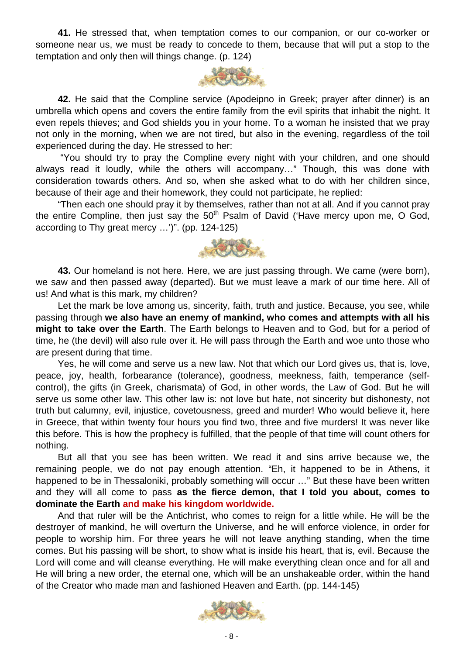**41.** He stressed that, when temptation comes to our companion, or our co-worker or someone near us, we must be ready to concede to them, because that will put a stop to the temptation and only then will things change. (p. 124)



**42.** He said that the Compline service (Apodeipno in Greek; prayer after dinner) is an umbrella which opens and covers the entire family from the evil spirits that inhabit the night. It even repels thieves; and God shields you in your home. To a woman he insisted that we pray not only in the morning, when we are not tired, but also in the evening, regardless of the toil experienced during the day. He stressed to her:

 "You should try to pray the Compline every night with your children, and one should always read it loudly, while the others will accompany…" Though, this was done with consideration towards others. And so, when she asked what to do with her children since, because of their age and their homework, they could not participate, he replied:

"Then each one should pray it by themselves, rather than not at all. And if you cannot pray the entire Compline, then just say the  $50<sup>th</sup>$  Psalm of David ('Have mercy upon me, O God, according to Thy great mercy …')". (pp. 124-125)



**43.** Our homeland is not here. Here, we are just passing through. We came (were born), we saw and then passed away (departed). But we must leave a mark of our time here. All of us! And what is this mark, my children?

Let the mark be love among us, sincerity, faith, truth and justice. Because, you see, while passing through **we also have an enemy of mankind, who comes and attempts with all his might to take over the Earth**. The Earth belongs to Heaven and to God, but for a period of time, he (the devil) will also rule over it. He will pass through the Earth and woe unto those who are present during that time.

Yes, he will come and serve us a new law. Not that which our Lord gives us, that is, love, peace, joy, health, forbearance (tolerance), goodness, meekness, faith, temperance (selfcontrol), the gifts (in Greek, charismata) of God, in other words, the Law of God. But he will serve us some other law. This other law is: not love but hate, not sincerity but dishonesty, not truth but calumny, evil, injustice, covetousness, greed and murder! Who would believe it, here in Greece, that within twenty four hours you find two, three and five murders! It was never like this before. This is how the prophecy is fulfilled, that the people of that time will count others for nothing.

But all that you see has been written. We read it and sins arrive because we, the remaining people, we do not pay enough attention. "Eh, it happened to be in Athens, it happened to be in Thessaloniki, probably something will occur ..." But these have been written and they will all come to pass **as the fierce demon, that I told you about, comes to dominate the Earth and make his kingdom worldwide.** 

And that ruler will be the Antichrist, who comes to reign for a little while. He will be the destroyer of mankind, he will overturn the Universe, and he will enforce violence, in order for people to worship him. For three years he will not leave anything standing, when the time comes. But his passing will be short, to show what is inside his heart, that is, evil. Because the Lord will come and will cleanse everything. He will make everything clean once and for all and He will bring a new order, the eternal one, which will be an unshakeable order, within the hand of the Creator who made man and fashioned Heaven and Earth. (pp. 144-145)

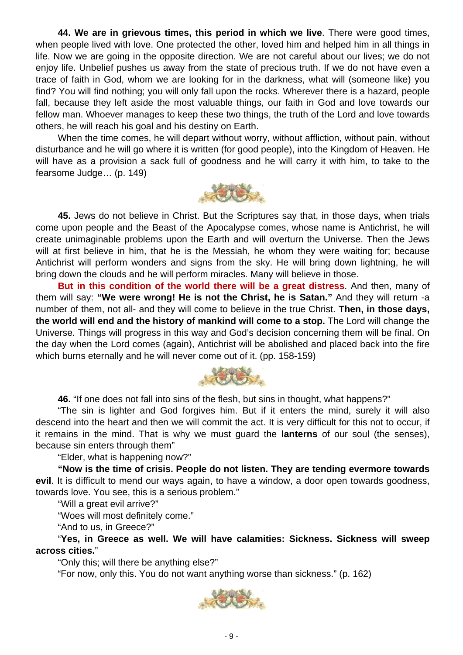**44. We are in grievous times, this period in which we live**. There were good times, when people lived with love. One protected the other, loved him and helped him in all things in life. Now we are going in the opposite direction. We are not careful about our lives; we do not enjoy life. Unbelief pushes us away from the state of precious truth. If we do not have even a trace of faith in God, whom we are looking for in the darkness, what will (someone like) you find? You will find nothing; you will only fall upon the rocks. Wherever there is a hazard, people fall, because they left aside the most valuable things, our faith in God and love towards our fellow man. Whoever manages to keep these two things, the truth of the Lord and love towards others, he will reach his goal and his destiny on Earth.

When the time comes, he will depart without worry, without affliction, without pain, without disturbance and he will go where it is written (for good people), into the Kingdom of Heaven. He will have as a provision a sack full of goodness and he will carry it with him, to take to the fearsome Judge… (p. 149)



**45.** Jews do not believe in Christ. But the Scriptures say that, in those days, when trials come upon people and the Beast of the Apocalypse comes, whose name is Antichrist, he will create unimaginable problems upon the Earth and will overturn the Universe. Then the Jews will at first believe in him, that he is the Messiah, he whom they were waiting for; because Antichrist will perform wonders and signs from the sky. He will bring down lightning, he will bring down the clouds and he will perform miracles. Many will believe in those.

**But in this condition of the world there will be a great distress**. And then, many of them will say: **"We were wrong! He is not the Christ, he is Satan."** And they will return -a number of them, not all- and they will come to believe in the true Christ. **Then, in those days, the world will end and the history of mankind will come to a stop.** The Lord will change the Universe. Things will progress in this way and God's decision concerning them will be final. On the day when the Lord comes (again), Antichrist will be abolished and placed back into the fire which burns eternally and he will never come out of it. (pp. 158-159)



**46.** "If one does not fall into sins of the flesh, but sins in thought, what happens?"

"The sin is lighter and God forgives him. But if it enters the mind, surely it will also descend into the heart and then we will commit the act. It is very difficult for this not to occur, if it remains in the mind. That is why we must guard the **lanterns** of our soul (the senses), because sin enters through them"

"Elder, what is happening now?"

**"Now is the time of crisis. People do not listen. They are tending evermore towards evil**. It is difficult to mend our ways again, to have a window, a door open towards goodness, towards love. You see, this is a serious problem."

"Will a great evil arrive?"

"Woes will most definitely come."

"And to us, in Greece?"

"**Yes, in Greece as well. We will have calamities: Sickness. Sickness will sweep across cities.**"

"Only this; will there be anything else?"

"For now, only this. You do not want anything worse than sickness." (p. 162)

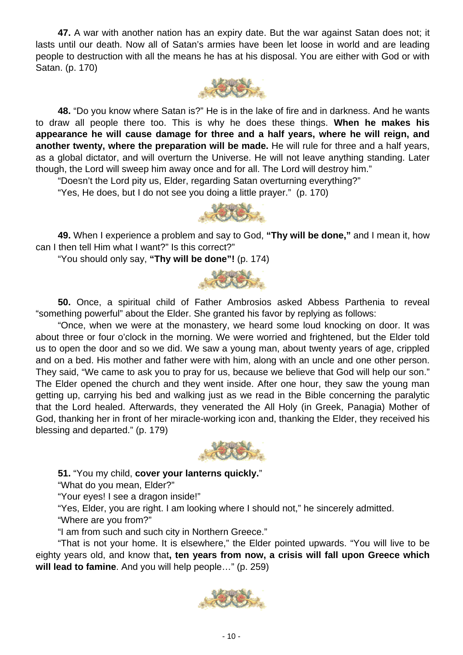**47.** A war with another nation has an expiry date. But the war against Satan does not; it lasts until our death. Now all of Satan's armies have been let loose in world and are leading people to destruction with all the means he has at his disposal. You are either with God or with Satan. (p. 170)



**48.** "Do you know where Satan is?" He is in the lake of fire and in darkness. And he wants to draw all people there too. This is why he does these things. **When he makes his appearance he will cause damage for three and a half years, where he will reign, and another twenty, where the preparation will be made.** He will rule for three and a half years, as a global dictator, and will overturn the Universe. He will not leave anything standing. Later though, the Lord will sweep him away once and for all. The Lord will destroy him."

"Doesn't the Lord pity us, Elder, regarding Satan overturning everything?"

"Yes, He does, but I do not see you doing a little prayer." (p. 170)



**49.** When I experience a problem and say to God, **"Thy will be done,"** and I mean it, how can I then tell Him what I want?" Is this correct?"

"You should only say, **"Thy will be done"!** (p. 174)



**50.** Once, a spiritual child of Father Ambrosios asked Abbess Parthenia to reveal "something powerful" about the Elder. She granted his favor by replying as follows:

"Once, when we were at the monastery, we heard some loud knocking on door. It was about three or four o'clock in the morning. We were worried and frightened, but the Elder told us to open the door and so we did. We saw a young man, about twenty years of age, crippled and on a bed. His mother and father were with him, along with an uncle and one other person. They said, "We came to ask you to pray for us, because we believe that God will help our son." The Elder opened the church and they went inside. After one hour, they saw the young man getting up, carrying his bed and walking just as we read in the Bible concerning the paralytic that the Lord healed. Afterwards, they venerated the All Holy (in Greek, Panagia) Mother of God, thanking her in front of her miracle-working icon and, thanking the Elder, they received his blessing and departed." (p. 179)



**51.** "You my child, **cover your lanterns quickly.**"

"What do you mean, Elder?"

"Your eyes! I see a dragon inside!"

"Yes, Elder, you are right. I am looking where I should not," he sincerely admitted.

"Where are you from?"

"I am from such and such city in Northern Greece."

"That is not your home. It is elsewhere," the Elder pointed upwards. "You will live to be eighty years old, and know that**, ten years from now, a crisis will fall upon Greece which will lead to famine**. And you will help people…" (p. 259)